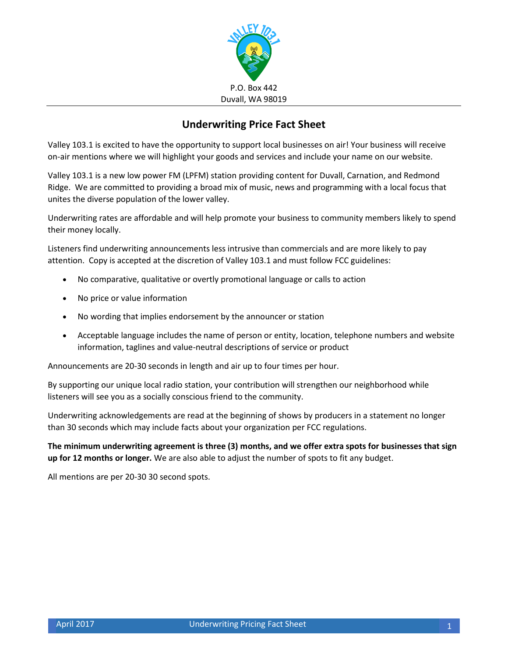

## **Underwriting Price Fact Sheet**

Valley 103.1 is excited to have the opportunity to support local businesses on air! Your business will receive on-air mentions where we will highlight your goods and services and include your name on our website.

Valley 103.1 is a new low power FM (LPFM) station providing content for Duvall, Carnation, and Redmond Ridge. We are committed to providing a broad mix of music, news and programming with a local focus that unites the diverse population of the lower valley.

Underwriting rates are affordable and will help promote your business to community members likely to spend their money locally.

Listeners find underwriting announcements less intrusive than commercials and are more likely to pay attention. Copy is accepted at the discretion of Valley 103.1 and must follow FCC guidelines:

- No comparative, qualitative or overtly promotional language or calls to action
- No price or value information
- No wording that implies endorsement by the announcer or station
- Acceptable language includes the name of person or entity, location, telephone numbers and website information, taglines and value-neutral descriptions of service or product

Announcements are 20-30 seconds in length and air up to four times per hour.

By supporting our unique local radio station, your contribution will strengthen our neighborhood while listeners will see you as a socially conscious friend to the community.

Underwriting acknowledgements are read at the beginning of shows by producers in a statement no longer than 30 seconds which may include facts about your organization per FCC regulations.

**The minimum underwriting agreement is three (3) months, and we offer extra spots for businesses that sign up for 12 months or longer.** We are also able to adjust the number of spots to fit any budget.

All mentions are per 20-30 30 second spots.